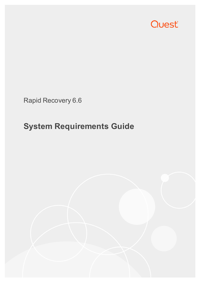

Rapid Recovery 6.6

# **System Requirements Guide**

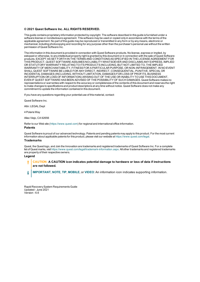#### **© 2021 Quest Software Inc. ALL RIGHTS RESERVED.**

This guide contains proprietary information protected by copyright. The software described in this guide is furnished under a software license or nondisclosure agreement. This software may be used or copied only in accordance with the terms of the applicable agreement. No part of this guide may be reproduced or transmitted in any form or by any means, electronic or mechanical, including photocopying and recording for any purpose other than the purchaser's personal use without the written permission of Quest Software Inc.

The information in this document is provided in connection with Quest Software products. No license, express or implied, by estoppel or otherwise, to any intellectual property right is granted by this document or in connection with the sale of Quest Software products. EXCEPT AS SET FORTH IN THE TERMS AND CONDITIONS AS SPECIFIED IN THE LICENSE AGREEMENT FOR THIS PRODUCT, QUEST SOFTWARE ASSUMES NO LIABILITY WHATSOEVER AND DISCLAIMS ANY EXPRESS, IMPLIED OR STATUTORY WARRANTY RELATING TO ITS PRODUCTS INCLUDING, BUT NOT LIMITED TO, THE IMPLIED WARRANTY OF MERCHANTABILITY, FITNESS FOR A PARTICULAR PURPOSE, OR NON-INFRINGEMENT. IN NO EVENT SHALL QUEST SOFTWARE BE LIABLE FOR ANY DIRECT, INDIRECT, CONSEQUENTIAL, PUNITIVE, SPECIAL OR INCIDENTAL DAMAGES (INCLUDING, WITHOUT LIMITATION, DAMAGES FOR LOSS OF PROFITS, BUSINESS INTERRUPTION OR LOSS OF INFORMATION) ARISING OUT OF THE USE OR INABILITY TO USE THIS DOCUMENT, EVEN IF QUEST SOFTWARE HAS BEEN ADVISED OF THE POSSIBILITY OF SUCH DAMAGES. Quest Software makes no representations or warranties with respect to the accuracy or completeness of the contents of this document and reserves the right to make changes to specifications and product descriptions at any time without notice. Quest Software does not make any commitment to update the information contained in this document.

If you have any questions regarding your potential use of this material, contact:

Quest Software Inc.

Attn: LEGAL Dept

4 PolarisWay

Aliso Viejo, CA 92656

Refer to our Web site ([https://www.quest.com](https://www.quest.com/)) for regional and international office information.

#### **Patents**

Quest Software is proud of our advanced technology. Patents and pending patents may apply to this product. For the most current information about applicable patents for this product, please visit our website at <https://www.quest.com/legal>.

#### **Trademarks**

Quest, the Quest logo, and Join the Innovation are trademarks and registered trademarks of Quest Software Inc. For a complete list of Quest marks, visit <https://www.quest.com/legal/trademark-information.aspx>. All other trademarks and registered trademarks are property of their respective owners.

#### **Legend**

- I. **CAUTION: A CAUTION icon indicates potential damage to hardware or loss of data if instructions are not followed.**
- **IMPORTANT**, **NOTE**, **TIP**, **MOBILE**, or **VIDEO**: An information icon indicates supporting information. i

Rapid RecoverySystem RequirementsGuide Updated - June 2021 Version - 6.6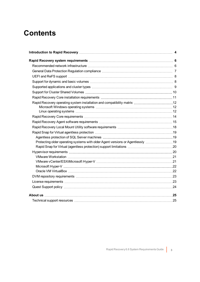### **Contents**

| Rapid Recovery operating system installation and compatibility matrix 12       |  |
|--------------------------------------------------------------------------------|--|
|                                                                                |  |
|                                                                                |  |
|                                                                                |  |
|                                                                                |  |
|                                                                                |  |
|                                                                                |  |
|                                                                                |  |
| Protecting older operating systems with older Agent versions or Agentlessly 19 |  |
|                                                                                |  |
|                                                                                |  |
|                                                                                |  |
|                                                                                |  |
|                                                                                |  |
|                                                                                |  |
|                                                                                |  |
|                                                                                |  |
|                                                                                |  |
|                                                                                |  |
|                                                                                |  |
|                                                                                |  |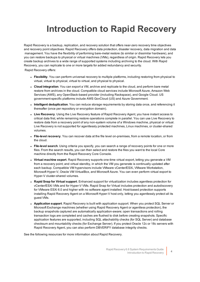# <span id="page-3-0"></span>**Introduction to Rapid Recovery**

Rapid Recovery is a backup, replication, and recovery solution that offers near-zero recovery time objectives and recovery point objectives. Rapid Recovery offers data protection, disaster recovery, data migration and data management. You have the flexibility of performing bare-metal restore (to similar or dissimilar hardware), and you can restore backups to physical or virtual machines (VMs), regardless of origin. Rapid Recovery lets you create backup archives to a wide range of supported systems including archiving to the cloud. With Rapid Recovery, you can replicate to one or more targets for added redundancy and security.

Rapid Recovery offers:

- **Flexibility**. You can perform universal recovery to multiple platforms, including restoring from physical to virtual, virtual to physical, virtual to virtual, and physical to physical.
- <sup>l</sup> **Cloud integration**. You can export a VM, archive and replicate to the cloud, and perform bare metal restore from archives in the cloud. Compatible cloud services include Microsoft Azure, Amazon Web Services (AWS), any OpenStack-based provider (including Rackspace), and Google Cloud. US government-specific platforms include AWS GovCloud (US) and Azure Government.
- **Intelligent deduplication**. You can reduce storage requirements by storing data once, and referencing it thereafter (once per repository or encryption domain).
- **Live Recovery**. Using the Live Recovery feature of Rapid Recovery Agent, you have instant access to critical data first, while remaining restore operations complete in parallel. You can use Live Recovery to restore data from a recovery point of any non-system volume of a Windows machine, physical or virtual. Live Recovery is not supported for agentlessly protected machines, Linux machines, or cluster-shared volumes.
- <sup>l</sup> **File-level recovery**. You can recover data at the file level on-premises, from a remote location, or from the cloud.
- **File-level search**. Using criteria you specify, you can search a range of recovery points for one or more files. From the search results, you can then select and restore the files you want to the local Core machine directly from the Rapid Recovery Core Console.
- **· Virtual machine export**. Rapid Recovery supports one-time virtual export, letting you generate a VM from a recovery point; and virtual standby, in which the VM you generate is continually updated after each backup. Compatible VM hypervisors include VMware vCenter/ESXi, VMware Workstation, Microsoft Hyper-V, Oracle VM VirtualBox, and Microsoft Azure. You can even perform virtual export to Hyper-V cluster-shared volumes.
- <sup>l</sup> **Rapid Snap for Virtual support**. Enhanced support for virtualization includes agentless protection for vCenter/ESXi VMs and for Hyper-V VMs. Rapid Snap for Virtual includes protection and autodiscovery for VMware ESXi 6.0 and higher with no software agent installed. Host-based protection supports installing Rapid Recovery Agent on a Microsoft Hyper-V host only, letting you agentlessly protect all its guest VMs.
- **Application support**. Rapid Recovery is built with application support. When you protect SQL Server or Microsoft Exchange machines (whether using Rapid Recovery Agent or agentless protection), the backup snapshots captured are automatically application-aware; open transactions and rolling transaction logs are completed and caches are flushed to disk before creating snapshots. Specific application features are supported, including SQL attachability checks (for SQL Server) and database checksum and mountability checks (for Exchange Server). If you protect Oracle 12c or 18c servers with Rapid Recovery Agent, you can also perform DBVERIFY database integrity checks.

See the following resources for more information about Rapid Recovery.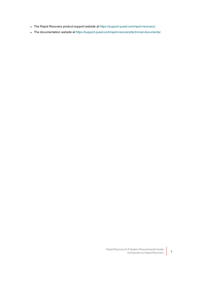- . The Rapid Recovery product support website at https://support.quest.com/rapid-recovery/.
- The documentation website at [https://support.quest.com/rapid-recovery/technical-documents/.](https://support.quest.com/rapid-recovery/technical-documents/)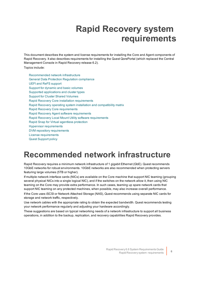## **Rapid Recovery system requirements**

<span id="page-5-0"></span>This document describes the system and license requirements for installing the Core and Agent components of Rapid Recovery. It also describes requirements for installing the Quest QorePortal (which replaced the Central Management Console in Rapid Recovery release 6.2).

Topics include:

[Recommended](#page-5-1) network infrastructure General Data [Protection Regulation](#page-6-0) compliance UEFI and ReFS [support](#page-7-0) Support for [dynamic](#page-7-1) and basic volumes Supported [applications](#page-8-0) and cluster types Support for [Cluster Shared](#page-9-0) Volumes Rapid Recovery Core installation [requirements](#page-10-0) Rapid [Recovery operating](#page-11-0) system installation and compatibility matrix Rapid Recovery [Core requirements](#page-13-0) Rapid Recovery Agent software [requirements](#page-14-0) Rapid Recovery Local Mount Utility software [requirements](#page-17-0) Rapid Snap for Virtual agentless [protection](#page-18-0) Hypervisor [requirements](#page-19-1) DVM repository requirements [License requirements](#page-22-1) Quest [Support](#page-23-0) policy

## <span id="page-5-1"></span>**Recommended network infrastructure**

Rapid Recovery requires a minimum network infrastructure of 1 gigabit Ethernet (GbE). Quest recommends 10GbE networks for robust environments. 10GbE networks are also recommended when protecting servers featuring large volumes (5TB or higher).

If multiple network interface cards (NICs) are available on the Core machine that support NIC teaming (grouping several physical NICs into a single logical NIC), and if the switches on the network allow it, then using NIC teaming on the Core may provide extra performance. In such cases, teaming up spare network cards that support NIC teaming on any protected machines, when possible, may also increase overall performance.

If the Core uses iSCSI or Network Attached Storage (NAS), Quest recommends using separate NIC cards for storage and network traffic, respectively.

Use network cables with the appropriate rating to obtain the expected bandwidth. Quest recommends testing your network performance regularly and adjusting your hardware accordingly.

These suggestions are based on typical networking needs of a network infrastructure to support all business operations, in addition to the backup, replication, and recovery capabilities Rapid Recovery provides.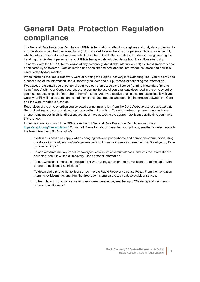## <span id="page-6-0"></span>**General Data Protection Regulation compliance**

The General Data Protection Regulation (GDPR) is legislation crafted to strengthen and unify data protection for all individuals within the European Union (EU). It also addresses the export of personal data outside the EU, which makes it relevant to software manufacture in the US and other countries. It updates rules governing the handling of individuals' personal data. GDPR is being widely adopted throughout the software industry.

To comply with the GDPR, the collection of any personally identifiable information (PII) by Rapid Recovery has been carefully considered. Data collection has been streamlined, and the information collected and how it is used is clearly documented.

When installing the Rapid Recovery Core or running the Rapid Recovery Info Gathering Tool, you are provided a description of the information Rapid Recovery collects and our purposes for collecting the information.

If you accept the stated use of personal data, you can then associate a license (running in standard "phonehome" mode) with your Core. If you choose to decline the use of personal data described in the privacy policy, you must request a special "non-phone-home" license. After you receive that license and associate it with your Core, your PII will not be used, and certain functions (auto update, and enabling integration between the Core and the QorePortal) are disabled.

Regardless of the privacy option you selected during installation, from the Core *Agree to use of personal data* General setting, you can update your privacy setting at any time. To switch between phone-home and nonphone-home modes in either direction, you must have access to the appropriate license at the time you make this change.

For more information about the GDPR, see the EU General Data Protection Regulation website at <https://eugdpr.org/the-regulation/>. For more information about managing your privacy, see the following topics in the *Rapid Recovery 6.6 User Guide*:

- Certain business rules apply when changing between phone-home and non-phone-home mode using the *Agree to use of personal data* general setting. For more information, see the topic "Configuring Core general settings."
- To see what information Rapid Recovery collects, in which circumstances, and why the information is collected, see "How Rapid Recovery uses personal information."
- To see what functions you cannot perform when using a non-phone-home license, see the topic "Nonphone-home license restrictions."
- To download a phone-home license, log into the Rapid Recovery License Portal. From the navigation menu, click **Licensing**, and from the drop-down menu on the top right, select **License Key.**
- To learn how to obtain a license in non-phone-home mode, see the topic "Obtaining and using nonphone-home licenses."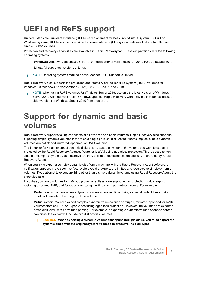## <span id="page-7-0"></span>**UEFI and ReFS support**

Unified Extensible Firmware Interface (UEFI) is a replacement for Basic Input/Output System (BIOS). For Windows systems, UEFI uses the Extensible Firmware Interface (EFI) system partitions that are handled as simple FAT32 volumes.

Protection and recovery capabilities are available in Rapid Recovery for EFI system partitions with the following operating systems:

- <sup>l</sup> **Windows:** Windows versions 8\*, 8.1\*, 10; Windows Server versions 2012\*, 2012 R2\*, 2016, and 2019.
- **Linux:** All supported versions of Linux.

í **NOTE:** Operating systems marked \* have reached EOL. Support is limited.

Rapid Recovery also supports the protection and recovery of Resilient File System (ReFS) volumes for Windows 10, Windows Server versions 2012\*, 2012 R2\*, 2016, and 2019.

**NOTE:** When using ReFS volumes for Windows Server 2019, use only the latest version of Windows Server 2019 with the most recent Windows updates. Rapid Recovery Core may block volumes that use older versions of Windows Server 2019 from protection.

### <span id="page-7-1"></span>**Support for dynamic and basic volumes**

Rapid Recovery supports taking snapshots of all dynamic and basic volumes. Rapid Recovery also supports exporting simple dynamic volumes that are on a single physical disk. As their name implies, simple dynamic volumes are not striped, mirrored, spanned, or RAID volumes.

The behavior for virtual export of dynamic disks differs, based on whether the volume you want to export is protected by the Rapid Recovery Agent software, or is a VM using agentless protection. This is because nonsimple or complex dynamic volumes have arbitrary disk geometries that cannot be fully interpreted by Rapid Recovery Agent.

When you try to export a complex dynamic disk from a machine with the Rapid Recovery Agent software, a notification appears in the user interface to alert you that exports are limited and restricted to simple dynamic volumes. If you attempt to export anything other than a simple dynamic volume using Rapid Recovery Agent, the export job fails.

In contrast, dynamic volumes for VMs you protect agentlessly are supported for protection, virtual export, restoring data, and BMR, and for repository storage, with some important restrictions. For example:

- **Protection:** In the case when a dynamic volume spans multiple disks, you must protect those disks together to maintain the integrity of the volume.
- **· Virtual export:** You can export complex dynamic volumes such as striped, mirrored, spanned, or RAID volumes from an ESXi or Hyper-V host using agentless protection. However, the volumes are exported at the disk level, with no volume parsing. For example, if exporting a dynamic volume spanned across two disks, the export will include two distinct disk volumes.
	- **CAUTION: When exporting a dynamic volume that spans multiple disks, you must export the dynamic disks with the original system volumes to preserve the disk types.**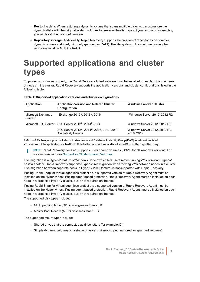- **Restoring data:** When restoring a dynamic volume that spans multiple disks, you must restore the dynamic disks with the original system volumes to preserve the disk types. If you restore only one disk, you will break the disk configuration.
- **Repository storage:** Additionally, Rapid Recovery supports the creation of repositories on complex dynamic volumes (striped, mirrored, spanned, or RAID). The file system of the machine hosting the repository must be NTFS or ReFS.

## <span id="page-8-0"></span>**Supported applications and cluster types**

To protect your cluster properly, the Rapid Recovery Agent software must be installed on each of the machines or nodes in the cluster. Rapid Recovery supports the application versions and cluster configurations listed in the following table.

| Table 1: Supported application versions and cluster configurations |  |  |  |  |
|--------------------------------------------------------------------|--|--|--|--|
|--------------------------------------------------------------------|--|--|--|--|

| Application                               | <b>Application Version and Related Cluster</b><br>Configuration                                   | <b>Windows Failover Cluster</b>             |
|-------------------------------------------|---------------------------------------------------------------------------------------------------|---------------------------------------------|
| Microsoft Exchange<br>Server <sup>1</sup> | Exchange 2013 <sup>2</sup> , 2016 <sup>2</sup> , 2019                                             | Windows Server 2012, 2012 R2                |
|                                           | Microsoft SQL Server SQL Server 2012 <sup>2</sup> , 2014 <sup>2</sup> SCC                         | Windows Server 2012, 2012 R2                |
|                                           | SQL Server 2012 <sup>2</sup> , 2014 <sup>2</sup> , 2016, 2017, 2019<br><b>Availability Groups</b> | Windows Server 2012, 2012 R2,<br>2016, 2019 |

1 Microsoft Exchange support includes both standalone and Database AvailabilityGroup (DAG) for all versions listed. 2This version of the application reached End of Life by the manufacturer and is in Limited Support by Rapid Recovery.

i **NOTE:** Rapid Recovery does not support cluster shared volumes (CSVs) for all Windows versions. For more information, see Support for [Cluster Shared](#page-9-0) Volumes

Live migration is a Hyper-V feature of Windows Server which lets users move running VMs from one Hyper-V host to another. Rapid Recovery supports Hyper-V live migration when moving VMs between nodes in a cluster. Live migration between separate hosts (a Hyper-V 2016 feature) is not supported with Rapid Recovery.

If using Rapid Snap for Virtual agentless protection, a supported version of Rapid Recovery Agent must be installed on the Hyper-V host. If using agent-based protection, Rapid Recovery Agent must be installed on each node in a protected Hyper-V cluster, but is not required on the host.

If using Rapid Snap for Virtual agentless protection, a supported version of Rapid Recovery Agent must be installed on the Hyper-V host. If using agent-based protection, Rapid Recovery Agent must be installed on each node in a protected Hyper-V cluster, but is not required on the host.

The supported disk types include:

- GUID partition table (GPT) disks greater than 2 TB
- Master Boot Record (MBR) disks less than 2 TB

The supported mount types include:

- Shared drives that are connected as drive letters (for example, D:)
- Simple dynamic volumes on a single physical disk (not striped, mirrored, or spanned volumes)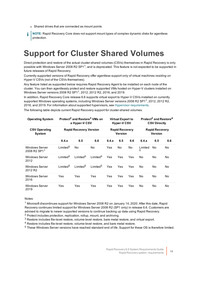- Shared drives that are connected as mount points
- **NOTE:** Rapid Recovery Core does not support mount types of complex dynamic disks for agentless protection.

## <span id="page-9-0"></span>**Support for Cluster Shared Volumes**

Direct protection and restore of the actual cluster-shared volumes (CSVs) themselves in Rapid Recovery is only possible with Windows Server 2008 R2 SP11, and is deprecated. This feature is not expected to be supported in future releases of Rapid Recovery.

Currently supported versions of Rapid Recovery offer agentless support only of virtual machines *residing on* Hyper-V CSVs (not of the CSVs themselves).

Any feature listed as supported below requires Rapid Recovery Agent to be installed on each node of the cluster. You can then agentlessly protect and restore supported VMs hosted on Hyper-V clusters installed on Windows Server versions 2008 R2 SP11, 2012, 2012 R2, 2016, and 2019.

In addition, Rapid Recovery Core release 6.6 supports virtual export to Hyper-V CSVs installed on currently supported Windows operating systems, including Windows Server versions 2008 R2 SP1<sup>1</sup>, 2012, 2012 R2, 2016, and 2019. For information about supported hypervisors, see Hypervisor [requirements](#page-19-1).

The following table depicts current Rapid Recovery support for cluster-shared volumes.

| <b>Operating System</b>                                                   |                       | Protect <sup>2</sup> and Restore <sup>3</sup> VMs on<br>a Hyper-V CSV |                       |       | <b>Virtual Export to</b><br><b>Hyper-V CSV</b> |                                  |              | Protect <sup>2</sup> and Restore <sup>4</sup><br><b>CSV Directly</b> |     |
|---------------------------------------------------------------------------|-----------------------|-----------------------------------------------------------------------|-----------------------|-------|------------------------------------------------|----------------------------------|--------------|----------------------------------------------------------------------|-----|
| <b>CSV Operating</b><br><b>System</b>                                     |                       | <b>Rapid Recovery Version</b><br><b>Rapid Recovery</b><br>Version     |                       |       |                                                | <b>Rapid Recovery</b><br>Version |              |                                                                      |     |
|                                                                           | 6.4.x                 | 6.5                                                                   | 6.6                   | 6.4.x | 6.5                                            | 6.6                              | 6.4.x        | 6.5                                                                  | 6.6 |
| <b>Windows Server</b><br>2008 R <sub>2</sub> SP <sub>1</sub> <sup>1</sup> | I imited <sup>5</sup> | <b>No</b>                                                             | No                    | Yes   | No                                             | No                               | Limited<br>5 | No                                                                   | No  |
| <b>Windows Server</b><br>2012                                             | Limited <sup>5</sup>  | I imited <sup>5</sup>                                                 | I imited <sup>5</sup> | Yes   | Yes                                            | Yes                              | No           | No                                                                   | No  |
| <b>Windows Server</b><br>2012 R <sub>2</sub>                              | Limited <sup>5</sup>  | I imited <sup>5</sup>                                                 | I imited <sup>5</sup> | Yes   | Yes                                            | Yes                              | No           | No                                                                   | No  |
| <b>Windows Server</b><br>2016                                             | Yes                   | Yes                                                                   | Yes                   | Yes   | Yes                                            | Yes                              | No           | No                                                                   | No  |
| <b>Windows Server</b><br>2019                                             | Yes                   | Yes                                                                   | Yes                   | Yes   | Yes                                            | Yes                              | No           | No                                                                   | No  |

Notes:

<sup>1</sup> Microsoft discontinues support for Windows Server 2008 R2 on January 14, 2020. After this date, Rapid Recovery continues limited support for Windows Server 2008 R2 (SP1 only) in release 6.6. Customers are advised to migrate to newer supported versions to continue backing up data using Rapid Recovery.

<sup>2</sup> Protect includes protection, replication, rollup, mount, and archiving.

<sup>3</sup> Restore includes file-level restore, volume-level restore, bare metal restore, and virtual export.

<sup>4</sup> Restore includes file-level restore, volume-level restore, and bare metal restore.

<sup>5</sup> These Windows Server versions have reached standard end of life. Support for these OS is therefore limited.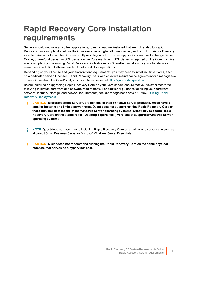## <span id="page-10-0"></span>**Rapid Recovery Core installation requirements**

Servers should not have any other applications, roles, or features installed that are not related to Rapid Recovery. For example, do not use the Core server as a high-traffic web server; and do not run Active Directory as a domain controller on the Core server. If possible, do not run server applications such as Exchange Server, Oracle, SharePoint Server, or SQL Server on the Core machine. If SQL Server is required on the Core machine – for example, if you are using Rapid Recovery DocRetriever for SharePoint–make sure you allocate more resources, in addition to those needed for efficient Core operations.

Depending on your license and your environment requirements, you may need to install multiple Cores, each on a dedicated server. Licensed Rapid Recovery users with an active maintenance agreement can manage two or more Cores from the QorePortal, which can be accessed at [https://qoreportal.quest.com.](https://qoreportal.quest.com/)

Before installing or upgrading Rapid Recovery Core on your Core server, ensure that your system meets the following minimum hardware and software requirements. For additional guidance for sizing your hardware, software, memory, storage, and network requirements, see knowledge base article 185962, "[Sizing](https://support.quest.com/rapid-recovery/kb/185962) Rapid Recovery [Deployments](https://support.quest.com/rapid-recovery/kb/185962)."

- **CAUTION: Microsoft offers Server Core editions of their Windows Server products, which have a smaller footprint and limited server roles. Quest does not support running Rapid Recovery Core on these minimal installations of the Windows Server operating systems. Quest only supports Rapid Recovery Core on the standard (or "Desktop Experience") versions of supported Windows Server operating systems.**
- **NOTE:** Quest does not recommend installing Rapid Recovery Core on an all-in-one server suite such as i Microsoft Small Business Server or Microsoft Windows Server Essentials.
- **CAUTION: Quest does not recommend running the Rapid Recovery Core on the same physical** ī **machine that serves as a hypervisor host.**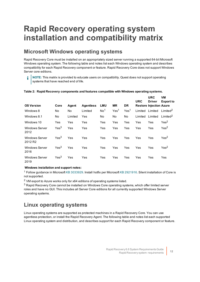### <span id="page-11-0"></span>**Rapid Recovery operating system installation and compatibility matrix**

#### <span id="page-11-1"></span>**Microsoft Windows operating systems**

Rapid Recovery Core must be installed on an appropriately sized server running a supported 64-bit Microsoft Windows operating system. The following table and notes list each Windows operating system and describes compatibility for each Rapid Recovery component or feature. Rapid Recovery Core does not support Windows Server core editions.

**NOTE:** This matrix is provided to educate users on compatibility. Quest does not support operating systems that have reached end of life.

| <b>OS Version</b>                            | Core             | Agent   | <b>Agentless</b> | <b>LMU</b>      | <b>MR</b>        | DR.              | <b>URC</b> | <b>URC</b><br><b>Driver</b><br><b>Restore Injection Azure</b> | VM<br><b>Export to</b> |
|----------------------------------------------|------------------|---------|------------------|-----------------|------------------|------------------|------------|---------------------------------------------------------------|------------------------|
| Windows 8                                    | No.              | No      | Limited          | No <sup>1</sup> | Yes <sup>1</sup> | Yes <sup>1</sup> | Limited    | Limited                                                       | Limited <sup>2</sup>   |
| Windows 8.1                                  | No               | Limited | Yes              | No              | No               | No               | Limited    | Limited                                                       | Limited <sup>2</sup>   |
| Windows 10                                   | Yes              | Yes     | Yes              | Yes             | Yes              | Yes              | Yes        | Yes                                                           | Yes <sup>2</sup>       |
| <b>Windows Server</b><br>2012                | Yes <sup>3</sup> | Yes     | Yes              | Yes             | Yes              | Yes              | Yes        | Yes                                                           | Yes <sup>2</sup>       |
| <b>Windows Server</b><br>2012 R <sub>2</sub> | Yes <sup>3</sup> | Yes     | Yes              | Yes             | Yes              | Yes              | Yes        | Yes                                                           | Yes <sup>2</sup>       |
| <b>Windows Server</b><br>2016                | Yes <sup>3</sup> | Yes     | Yes              | Yes             | Yes              | Yes              | Yes        | Yes                                                           | Yes <sup>2</sup>       |
| <b>Windows Server</b><br>2019                | Yes <sup>3</sup> | Yes     | Yes              | Yes             | Yes              | Yes              | Yes        | Yes                                                           | Yes                    |

#### **Table 2: Rapid Recovery components and features compatible with Windows operating systems.**

#### **Windows installation and support notes:**

<sup>1</sup> Follow guidance in Microsoft KB [3033929.](https://support.microsoft.com/en-us/help/3033929/microsoft-security-advisory-availability-of-sha-2-code-signing-support) Install hotfix per Microsoft KB [2921916](https://support.microsoft.com/en-us/help/2921916/the-untrusted-publisher-dialog-box-appears-when-you-install-a-driver-i). Silent installation of Core is not supported.

<sup>2</sup> VM export to Azure works only for x64 editions of operating systems listed.

 $3$  Rapid Recovery Core cannot be installed on Windows Core operating systems, which offer limited server roles and have no GUI. This includes all Server Core editions for all currently supported Windows Server operating systems.

#### <span id="page-11-2"></span>**Linux operating systems**

Linux operating systems are supported as protected machines in a Rapid Recovery Core. You can use agentless protection, or install the Rapid Recovery Agent. The following table and notes list each supported Linux operating system and distribution, and describes support for each Rapid Recovery component or feature.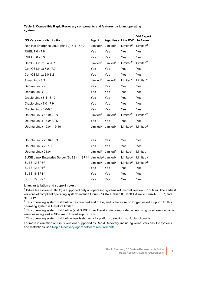|                                            |                      |                           |                      | <b>VM Export</b>     |
|--------------------------------------------|----------------------|---------------------------|----------------------|----------------------|
| <b>OS Version or distribution</b>          | Agent                | <b>Agentless Live DVD</b> |                      | to Azure             |
| Red Hat Enterprise Linux (RHEL) 6.4 - 6.10 | $L$ imited $2$       | $L$ imited $2$            | $L$ imited $2$       | Limited <sup>2</sup> |
| RHEL 7.0 - 7.8                             | Yes                  | Yes                       | Yes                  | Yes                  |
| RHEL 8.0 - 8.3                             | Yes                  | Yes                       | Yes                  | Yes                  |
| CentOS Linux 6.4 - 6.10                    | Limited <sup>2</sup> | $L$ imited $2$            | $L$ imited $2$       | Limited <sup>2</sup> |
| CentOS Linux 7.0 - 7.9                     | Yes                  | Yes                       | Yes                  | Yes                  |
| CentOS Linux 8.0-8.2                       | Yes                  | Yes                       | Yes                  | Yes                  |
| Alma Linux 8.3                             | Limited $4$          | Limited <sup>4</sup>      | Limited <sup>4</sup> | Limited <sup>4</sup> |
| Debian Linux 9                             | Yes                  | Yes                       | Yes                  | Yes                  |
| Debian Linux 10                            | Yes                  | Yes                       | Yes                  | Yes                  |
| Oracle Linux 6.4 - 6.10                    | Yes                  | Yes                       | Yes                  | Yes                  |
| Oracle Linux 7.0 - 7.9                     | Yes                  | Yes                       | Yes                  | Yes                  |
| Oracle Linux 8.0-8.3                       | Yes                  | Yes                       | Yes                  | Yes                  |
| Ubuntu Linux 16.04 LTS                     | I imited $^2$        | I imited $^2$             | I imited $^2$        | $L$ imited $2$       |
| Ubuntu Linux 18.04 LTS                     | Yes                  | Yes                       | Yes                  | Yes                  |
| Ubuntu Linux 19.04, 19.10                  | $L$ imited $2$       | Limited <sup>2</sup>      | $L$ imited $2$       | Limited <sup>2</sup> |
|                                            |                      |                           |                      |                      |
| Ubuntu Linux 20.04 LTS                     | Yes                  | Yes                       | Yes                  | Yes                  |
| Ubuntu Linux 20.10                         | Yes                  | Yes                       | Yes                  | Yes                  |
| Ubuntu Linux 21.04                         | Limited <sup>4</sup> | Limited <sup>4</sup>      | Limited <sup>4</sup> | Limited <sup>4</sup> |

**Table 3: Compatible Rapid Recovery components and features by Linux operating system**

| Ubuntu Linux 20.04 LTS                                                                                                                       | Yes        | <b>Yes</b>                                                                          | <b>Yes</b>                                                                          | Yes |
|----------------------------------------------------------------------------------------------------------------------------------------------|------------|-------------------------------------------------------------------------------------|-------------------------------------------------------------------------------------|-----|
| Ubuntu Linux 20.10                                                                                                                           | <b>Yes</b> | <b>Yes</b>                                                                          | <b>Yes</b>                                                                          | Yes |
| Ubuntu Linux 21.04                                                                                                                           |            | $1 \text{ imited}^4$ $1 \text{ imited}^4$ $1 \text{ imited}^4$ $1 \text{ imited}^4$ |                                                                                     |     |
| SUSE Linux Enterprise Server (SLES) 11 SP4 <sup>3</sup> Limiteds <sup>2</sup> Limited <sup>2</sup> Limited <sup>2</sup> Limited <sup>2</sup> |            |                                                                                     |                                                                                     |     |
| SLES 12 SP33                                                                                                                                 |            |                                                                                     | $1 \text{ imited}^2$ $1 \text{ imited}^2$ $1 \text{ imited}^2$ $1 \text{ imited}^2$ |     |
|                                                                                                                                              |            |                                                                                     |                                                                                     |     |
| SLES 12 SP43                                                                                                                                 | Yes.       | <b>Yes</b>                                                                          | Yes                                                                                 | Yes |
| SLES 15 SP13                                                                                                                                 | Yes        | Yes                                                                                 | Yes                                                                                 | Yes |

#### **Linux installation and support notes:**

 $1$  B-tree file system (BTRFS) is supported only on operating systems with kernel version 3.7 or later. The earliest versions of compliant operating systems include Ubuntu 14.04, Debian 8, CentOS/Oracle Linux/RHEL 7, and SLES 12.

<sup>2</sup> This operating system distribution has reached end of life, and is therefore no longer tested. Support for this operating system is therefore limited.

<sup>3</sup> This operating system distribution (and SUSE Linux Desktop) fully supported when using listed service packs; versions using earlier SPs are in limited support only.

<sup>4</sup> This operating system distribution was tested only for platform detection, not for functionality.

For more information on Linux versions supported by Rapid Recovery, including kernel versions, file systems and restrictions, see Rapid Recovery Agent software [requirements](#page-14-0)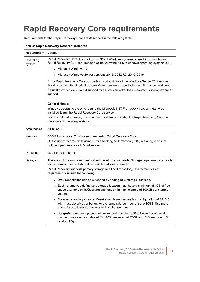## <span id="page-13-0"></span>**Rapid Recovery Core requirements**

Requirements for the Rapid Recovery Core are described in the following table.

#### **Table 4: Rapid Recovery Core requirements**

| <b>Requirement Details</b> |                                                                                                                                                                                                                                                                                                          |
|----------------------------|----------------------------------------------------------------------------------------------------------------------------------------------------------------------------------------------------------------------------------------------------------------------------------------------------------|
| Operating<br>system        | Rapid Recovery Core does not run on 32-bit Windows systems or any Linux distribution.<br>Rapid Recovery Core requires one of the following 64-bit Windows operating systems (OS):                                                                                                                        |
|                            | • Microsoft Windows 10                                                                                                                                                                                                                                                                                   |
|                            | - Microsoft Windows Server versions 2012, 2012 R2, 2016, 2019                                                                                                                                                                                                                                            |
|                            | $1$ The Rapid Recovery Core supports all x64 editions of the Windows Server OS versions<br>listed. However, the Rapid Recovery Core does not support Windows Server core editions<br><sup>2</sup> Quest provides only limited support for OS versions after their manufacturers end extended<br>support. |
|                            | <b>General Notes:</b>                                                                                                                                                                                                                                                                                    |
|                            | Windows operating systems require the Microsoft .NET Framework version 4.6.2 to be<br>installed to run the Rapid Recovery Core service.                                                                                                                                                                  |
|                            | For optimal performance, it is recommended that you install the Rapid Recovery Core on<br>more recent operating systems.                                                                                                                                                                                 |
| Architecture               | 64-bit only                                                                                                                                                                                                                                                                                              |
| Memory                     | 8GB RAM or more. This is a requirement of Rapid Recovery Core.<br>Quest highly recommends using Error Checking & Correction (ECC) memory, to ensure<br>optimum performance of Rapid servers.                                                                                                             |
| Processor                  | Quad-core or higher                                                                                                                                                                                                                                                                                      |
| Storage                    | The amount of storage required differs based on your needs. Storage requirements typically<br>increase over time and should be revisited at least annually.<br>Rapid Recovery supports primary storage in a DVM repository. Characteristics and<br>requirements include the following:                   |
|                            | • DVM repositories can be extended by adding new storage locations.                                                                                                                                                                                                                                      |
|                            | • Each volume you define as a storage location must have a minimum of 1GB of free<br>space available on it. Quest recommends minimum storage of 100GB per storage<br>volume.                                                                                                                             |
|                            | • For your repository storage, Quest strongly recommends a configuration of RAID 6<br>with 4 usable drives or better, for a change rate per hour of up to 10GB. Use more<br>drives for additional capacity or higher change rates.                                                                       |
|                            | • Suggested random input/output per second (IOPS) of 300 or better (based on 4<br>usable drives each capable of 75 IOPS measured at 32KB with 75% reads with 60<br>random I/O).                                                                                                                          |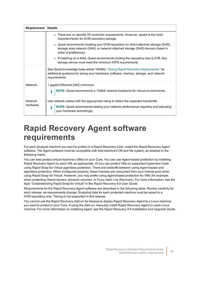| <b>Requirement Details</b> |                                                                                                                                                                                                        |
|----------------------------|--------------------------------------------------------------------------------------------------------------------------------------------------------------------------------------------------------|
|                            | There are no specific I/O controller requirements. However, speed is the most<br>important factor for DVM repository storage.                                                                          |
|                            | • Quest recommends locating your DVM repository on direct attached storage (DAS),<br>storage area network (SAN), or network attached storage (NAS) devices (listed in<br>order of preference).         |
|                            | - If installing on a NAS, Quest recommends limiting the repository size to 6TB. Any<br>storage device must meet the minimum IOPS requirements.                                                         |
|                            | See Quest knowledge base article 185962, "Sizing Rapid Recovery Deployments," for<br>additional guidance for sizing your hardware, software, memory, storage, and network<br>requirements.             |
| <b>Network</b>             | 1 gigabit Ethernet (GbE) minimum<br>NOTE: Quest recommends a 10GbE network backbone for robust environments<br>i                                                                                       |
| <b>Network</b><br>hardware | Use network cables with the appropriate rating to obtain the expected bandwidth.<br>NOTE: Quest recommends testing your network performance regularly and adjusting<br>i<br>your hardware accordingly. |

### <span id="page-14-0"></span>**Rapid Recovery Agent software requirements**

For each physical machine you want to protect in a Rapid Recovery Core, install the Rapid Recovery Agent software. The Agent software must be compatible with that machine's OS and file system, as detailed in the following matrix.

You can also protect virtual machines (VMs) on your Core. You can use Agent-based protection by installing Rapid Recovery Agent on each VM, as appropriate. Or you can protect VMs on supported hypervisor hosts using Rapid Snap for Virtual agentless protection. There are tradeoffs between using Agent-based and agentless protection. When configured properly, fewer licenses are consumed from your license pool when using Rapid Snap for Virtual. However, you may prefer using Agent-based protection for VMs (for example, when protecting Oracle servers, dynamic volumes, or if you need Live Recovery). For more information, see the topic "Understanding Rapid Snap for Virtual" in the *Rapid Recovery 6.6 User Guide*.

Requirements for the Rapid Recovery Agent software are described in the following table. Review carefully for each release, as requirements change. Snapshot data for each protected machine must be saved to a DVM repository only. Tiering is not supported in this release.

You cannot use the Rapid Recovery Add-on for Kaseya to deploy Rapid Recovery Agent to a Linux machine you want to protect in your Core. If using the Add-on, manually install Rapid Recovery Agent on each Linux machine. For more information on installing Agent, see the *Rapid Recovery 6.6 Installation and Upgrade Guide*.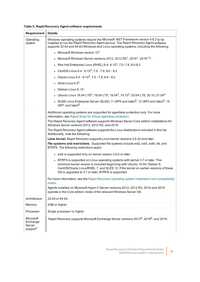#### **Table 5: Rapid Recovery Agent software requirements**

| Requirement                                             | <b>Details</b>                                                                                                                                                                                                                                                                                            |
|---------------------------------------------------------|-----------------------------------------------------------------------------------------------------------------------------------------------------------------------------------------------------------------------------------------------------------------------------------------------------------|
| Operating<br>system                                     | Windows operating systems require the Microsoft .NET Framework version 4.6.2 to be<br>installed to run the Rapid Recovery Agent service. The Rapid Recovery Agent software<br>supports 32-bit and 64-bit Windows and Linux operating systems, including the following:                                    |
|                                                         | • Microsoft Windows version 10 <sup>1</sup>                                                                                                                                                                                                                                                               |
|                                                         | • Microsoft Windows Server versions 2012, 2012 R2 <sup>1</sup> , 2016 <sup>1</sup> , 2019 <sup>1,5,</sup>                                                                                                                                                                                                 |
|                                                         | • Red Hat Enterprise Linux (RHEL) $6.4 - 6.10^3$ , $7.0 - 7.8$ , $8.0 - 8.2$                                                                                                                                                                                                                              |
|                                                         | • CentOS Linux $6.4 - 6.10^3$ , $7.0 - 7.9$ , $8.0 - 8.2$                                                                                                                                                                                                                                                 |
|                                                         | • Oracle Linux $6.4 - 6.10^3$ , $7.0 - 7.8$ , $8.0 - 8.2$                                                                                                                                                                                                                                                 |
|                                                         | • Alma Linux $8.34$                                                                                                                                                                                                                                                                                       |
|                                                         | • Debian Linux 9, 10                                                                                                                                                                                                                                                                                      |
|                                                         | Ubuntu Linux 16.04 LTS <sup>3</sup> , 18.04 LTS, 19.04 <sup>3</sup> , 19.10 <sup>3</sup> , 20.04 LTS, 20.10, 21.04 <sup>4</sup>                                                                                                                                                                           |
|                                                         | • SUSE Linux Enterprise Server (SLES) 11 (SP4 and later) <sup>6</sup> , 12 (SP3 and later) <sup>6</sup> , 15<br>$(SP1$ and later) <sup>6</sup>                                                                                                                                                            |
|                                                         | Additional operating systems are supported for agentless protection only. For more<br>information, see Rapid Snap for Virtual agentless protection.                                                                                                                                                       |
|                                                         | The Rapid Recovery Agent software supports Windows Server Core edition installations for<br>Windows Server versions 2012, 2012 R2, and 2016.                                                                                                                                                              |
|                                                         | The Rapid Recovery Agent software supports the Linux distributions included in this list.<br>Additionally, note the following:                                                                                                                                                                            |
|                                                         | Linux kernel. Rapid Recovery supports Linux kernel versions 2.6.32 and later.                                                                                                                                                                                                                             |
|                                                         | File systems and restrictions. Supported file systems include ext2, ext3, ext4, xfs, and<br>BTRFS. The following restrictions apply:                                                                                                                                                                      |
|                                                         | • ext2 is supported only on kernel version 3.6.0 or later.                                                                                                                                                                                                                                                |
|                                                         | • BTRFS is supported on Linux operating systems with kernel 3.7 or later. This<br>minimum kernel version is included beginning with Ubuntu 14.04, Debian 8,<br>CentOS/Oracle Linux/RHEL 7, and SLES 12. If the kernel on earlier versions of these<br>OS is upgraded to 3.7 or later, BTRFS is supported. |
|                                                         | For more information, see the Rapid Recovery operating system installation and compatibility<br>matrix.                                                                                                                                                                                                   |
|                                                         | Agents installed on Microsoft Hyper-V Server versions 2012, 2012 R2, 2016 and 2019<br>operate in the Core edition mode of the relevant Windows Server OS.                                                                                                                                                 |
| Architecture                                            | 32-bit or 64-bit                                                                                                                                                                                                                                                                                          |
| Memory                                                  | 4GB or higher                                                                                                                                                                                                                                                                                             |
| Processor                                               | Single processor or higher                                                                                                                                                                                                                                                                                |
| Microsoft<br>Exchange<br>Server<br>support <sup>7</sup> | Rapid Recovery supports Microsoft Exchange Server versions 2013 <sup>8</sup> , 2016 <sup>8</sup> , and 2019.                                                                                                                                                                                              |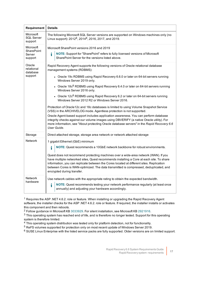| Requirement                        | <b>Details</b>                                                                                                                                                                                                                                                                                                                                                                                     |
|------------------------------------|----------------------------------------------------------------------------------------------------------------------------------------------------------------------------------------------------------------------------------------------------------------------------------------------------------------------------------------------------------------------------------------------------|
| Microsoft<br>SQL Server<br>support | The following Microsoft SQL Server versions are supported on Windows machines only (no<br>Linux support): 2012 <sup>8</sup> , 2014 <sup>8</sup> , 2016, 2017, and 2019.                                                                                                                                                                                                                            |
| Microsoft<br>SharePoint            | Microsoft SharePoint versions 2016 and 2019                                                                                                                                                                                                                                                                                                                                                        |
| Server<br>support                  | i<br>NOTE: Support for "SharePoint" refers to fully licensed versions of Microsoft<br>SharePoint Server for the versions listed above.                                                                                                                                                                                                                                                             |
| Oracle<br>relational<br>database   | Rapid Recovery Agent supports the following versions of Oracle relational database<br>management systems (RDBMS):                                                                                                                                                                                                                                                                                  |
| support                            | • Oracle 19c RDBMS using Rapid Recovery 6.6.0 or later on 64-bit servers running<br>Windows Server 2019 only.                                                                                                                                                                                                                                                                                      |
|                                    | • Oracle 18 $c^8$ RDBMS using Rapid Recovery 6.4.0 or later on 64-bit servers running<br>Windows Server 2016 only.                                                                                                                                                                                                                                                                                 |
|                                    | • Oracle $12c^8$ RDBMS using Rapid Recovery 6.2 or later on 64-bit servers running<br>Windows Server 2012 R2 or Windows Server 2016.                                                                                                                                                                                                                                                               |
|                                    | Protection of Oracle12c and 18c databases is limited to using Volume Snapshot Service<br>(VSS) in the ARCHIVELOG mode. Agentless protection is not supported.                                                                                                                                                                                                                                      |
|                                    | Oracle Agent-based support includes application awareness. You can perform database<br>integrity checks against our volume images using DBVERIFY (a native Oracle utility). For<br>more information, see "About protecting Oracle database servers" in the Rapid Recovery 6.6<br>User Guide.                                                                                                       |
| Storage                            | Direct attached storage, storage area network or network attached storage                                                                                                                                                                                                                                                                                                                          |
| Network                            | 1 gigabit Ethernet (GbE) minimum                                                                                                                                                                                                                                                                                                                                                                   |
|                                    | i<br>NOTE: Quest recommends a 10GbE network backbone for robust environments.                                                                                                                                                                                                                                                                                                                      |
|                                    | Quest does not recommend protecting machines over a wide-area network (WAN). If you<br>have multiple networked sites, Quest recommends installing a Core at each site. To share<br>information, you can replicate between the Cores located at different sites. Replication<br>between Cores is WAN-optimized. The data transmitted is compressed, deduplicated, and<br>encrypted during transfer. |
| Network<br>hardware                | Use network cables with the appropriate rating to obtain the expected bandwidth.                                                                                                                                                                                                                                                                                                                   |
|                                    | i<br>NOTE: Quest recommends testing your network performance regularly (at least once<br>annually) and adjusting your hardware accordingly.                                                                                                                                                                                                                                                        |

<sup>1</sup> Requires the ASP .NET 4.6.2. role or feature. When installing or upgrading the Rapid Recovery Agent software, the installer checks for the ASP .NET 4.6.2. role or feature. If required, the installer installs or activates this component and then reboots.

<sup>2</sup> Follow guidance in Microsoft KB  [3033929.](https://support.microsoft.com/en-us/help/3033929/microsoft-security-advisory-availability-of-sha-2-code-signing-support) For silent installation, see Microsoft KB [2921916.](https://support.microsoft.com/en-us/help/2921916/the-untrusted-publisher-dialog-box-appears-when-you-install-a-driver-i)

 $3$  This operating system has reached end of life, and is therefore no longer tested. Support for this operating system is therefore limited.

<sup>4</sup> This operating system distribution was tested only for platform detection, not for functionality.

<sup>5</sup> ReFS volumes supported for protection only on most recent update of Windows Server 2019.

 $6$  SUSE Linux Enterprise with the listed service packs are fully supported. Older versions are on limited support.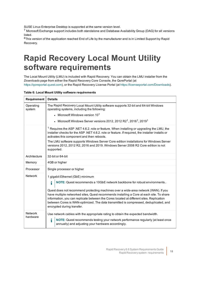SUSE Linux Enterprise Desktop is supported at the same version level.

<sup>7</sup> Microsoft Exchange support includes both standalone and Database Availability Group (DAG) for all versions listed.

<span id="page-17-0"></span><sup>8</sup>This version of the application reached End of Life by the manufacturer and is in Limited Support by Rapid Recovery.

### **Rapid Recovery Local Mount Utility software requirements**

The Local Mount Utility (LMU) is included with Rapid Recovery. You can obtain the LMU installer from the *Downloads* page from either the Rapid Recovery Core Console, the QorePortal (at [https://qoreportal.quest.com\)](https://qoreportal.quest.com/), or the Rapid Recovery License Portal (at [https://licenseportal.com/Downloads\)](https://licenseportal.com/Downloads).

| Table 6: Local Mount Utility software requirements |
|----------------------------------------------------|
|----------------------------------------------------|

| Requirement         | <b>Details</b>                                                                                                                                                                                                                                                                                                                                                                                                                                                                                                         |
|---------------------|------------------------------------------------------------------------------------------------------------------------------------------------------------------------------------------------------------------------------------------------------------------------------------------------------------------------------------------------------------------------------------------------------------------------------------------------------------------------------------------------------------------------|
| Operating<br>system | The Rapid Recovery Local Mount Utility software supports 32-bit and 64-bit Windows<br>operating systems, including the following:                                                                                                                                                                                                                                                                                                                                                                                      |
|                     | - Microsoft Windows version $10^1$                                                                                                                                                                                                                                                                                                                                                                                                                                                                                     |
|                     | • Microsoft Windows Server versions 2012, 2012 R2 <sup>1</sup> , 2016 <sup>1</sup> , 2019 <sup>1</sup>                                                                                                                                                                                                                                                                                                                                                                                                                 |
|                     | <sup>1</sup> Requires the ASP .NET 4.6.2. role or feature. When installing or upgrading the LMU, the<br>installer checks for the ASP .NET 4.6.2. role or feature. If required, the installer installs or<br>activates this component and then reboots.<br>The LMU software supports Windows Server Core edition installations for Windows Server<br>versions 2012, 2012 R2, 2016 and 2019. Windows Server 2008 R2 Core edition is not<br>supported.                                                                    |
| Architecture        | 32-bit or 64-bit                                                                                                                                                                                                                                                                                                                                                                                                                                                                                                       |
| Memory              | 4GB or higher                                                                                                                                                                                                                                                                                                                                                                                                                                                                                                          |
| Processor           | Single processor or higher                                                                                                                                                                                                                                                                                                                                                                                                                                                                                             |
| <b>Network</b>      | 1 gigabit Ethernet (GbE) minimum<br>i<br>NOTE: Quest recommends a 10GbE network backbone for robust environments<br>Quest does not recommend protecting machines over a wide-area network (WAN). If you<br>have multiple networked sites, Quest recommends installing a Core at each site. To share<br>information, you can replicate between the Cores located at different sites. Replication<br>between Cores is WAN-optimized. The data transmitted is compressed, deduplicated, and<br>encrypted during transfer. |
| Network<br>hardware | Use network cables with the appropriate rating to obtain the expected bandwidth.<br>NOTE: Quest recommends testing your network performance regularly (at least once<br>i<br>annually) and adjusting your hardware accordingly.                                                                                                                                                                                                                                                                                        |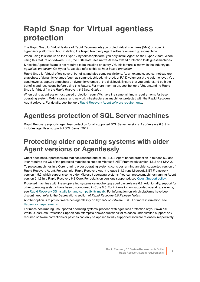## <span id="page-18-0"></span>**Rapid Snap for Virtual agentless protection**

The Rapid Snap for Virtual feature of Rapid Recovery lets you protect virtual machines (VMs) on specific hypervisor platforms without installing the Rapid Recovery Agent software on each guest machine.

When using this feature on the Hyper-V hypervisor platform, you only install Agent on the Hyper-V host. When using this feature on VMware ESXi, the ESXi host uses native APIs to extend protection to its guest machines. Since the Agent software is not required to be installed on every VM, this feature is known in the industry as *agentless protection*. On Hyper-V, we also refer to this as *host-based protection*.

Rapid Snap for Virtual offers several benefits, and also some restrictions. As an example, you cannot capture snapshots of dynamic volumes (such as spanned, striped, mirrored, or RAID volumes) at the volume level. You can, however, capture snapshots on dynamic volumes at the disk level. Ensure that you understand both the benefits and restrictions before using this feature. For more information, see the topic "Understanding Rapid Snap for Virtual " in the *Rapid Recovery 6.6 User Guide* .

When using agentless or host-based protection, your VMs have the same minimum requirements for base operating system, RAM, storage, and network infrastructure as machines protected with the Rapid Recovery Agent software. For details, see the topic Rapid Recovery Agent software [requirements](#page-14-0).

### <span id="page-18-1"></span>**Agentless protection of SQL Server machines**

Rapid Recovery supports agentless protection for all supported SQL Server versions. As of release 6.3, this includes agentless support of SQL Server 2017.

#### <span id="page-18-2"></span>**Protecting older operating systems with older Agent versions or Agentlessly**

Quest does not support software that has reached end of life (EOL). Agent-based protection in release 6.2 and later requires the OS of the protected machine to support Microsoft .NET Framework version 4.6.2 and SHA-2.

To protect machines in a Core running older operating systems, consider running an older supported version of Rapid Recovery Agent. For example, Rapid Recovery Agent release 6.1.3 runs Microsoft .NET Framework version 4.5.2, which supports some older Microsoft operating systems. You can protect machines running Agent version 6.1.3 in a Rapid Recovery 6.3 Core. For details on versions supported, see Quest Support policy.

Protected machines with these operating systems cannot be upgraded past release 6.2. Additionally, support for other operating systems have been discontinued in Core 6.6. For information on supported operating systems, see Rapid Recovery OS installation and [compatibility](#page-11-0) matrix. For information on which platforms have been discontinued, refer to the Deprecations section of *Rapid Recovery 6.6 Release Notes*.

Another option is to protect machines agentlessly on Hyper-V or VMware ESXi. For more information, see Hypervisor [requirements.](#page-19-1)

For machines running unsupported operating systems, proceed with agentless protection at your own risk. While Quest Data Protection Support can attempt to answer questions for releases under limited support, any required software corrections or patches can only be applied to fully supported software releases, respectively.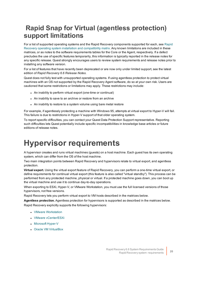#### <span id="page-19-0"></span>**Rapid Snap for Virtual (agentless protection) support limitations**

For a list of supported operating systems and the Rapid Recovery components supported for each, see [Rapid](#page-11-0) [Recovery operating](#page-11-0) system installation and compatibility matrix. Any known limitations are included in these matrices, or as notes to the software requirements tables for the Core or the Agent, respectively. If a defect precludes the use of specific features temporarily, this information is typically reported in the release notes for any specific release. Quest strongly encourages users to review system requirements and release notes prior to installing any software version.

For a list of features that have recently been deprecated or are now only under limited support, see the latest edition of *Rapid Recovery 6.6 Release Notes*.

Quest does not fully test with unsupported operating systems. If using agentless protection to protect virtual machines with an OS not supported by the Rapid Recovery Agent software, do so at your own risk. Users are cautioned that some restrictions or limitations may apply. These restrictions may include:

- An inability to perform virtual export (one-time or continual)
- An inability to save to an archive or restore from an archive
- An inability to restore to a system volume using bare metal restore

For example, if agentlessly protecting a machine with Windows 95, attempts at virtual export to Hyper-V will fail. This failure is due to restrictions in Hyper-V support of that older operating system.

To report specific difficulties, you can contact your Quest Data Protection Support representative. Reporting such difficulties lets Quest potentially include specific incompatibilities in knowledge base articles or future editions of release notes.

### <span id="page-19-1"></span>**Hypervisor requirements**

A hypervisor creates and runs virtual machines (guests) on a host machine. Each guest has its own operating system, which can differ from the OS of the host machine.

Two main integration points between Rapid Recovery and hypervisors relate to virtual export, and agentless protection.

**Virtual export.** Using the virtual export feature of Rapid Recovery, you can perform a one-time virtual export, or define requirements for continual virtual export (this feature is also called "virtual standby"). This process can be performed from any protected machine, physical or virtual. If a protected machine goes down, you can boot up the virtual machine and use it to continue day-to-day operations.

When exporting to ESXi, Hyper-V, or VMware Workstation, you must use the full licensed versions of those hypervisors, not free versions.

Rapid Recovery lets you perform virtual export to VM hosts described in the matrices below.

**Agentless protection.** Agentless protection for hypervisors is supported as described in the matrices below. Rapid Recovery explicitly supports the following hypervisors:

- VMware [Workstation](#page-20-0)
- VMware [vCenter/ESXi](#page-20-1)
- [Microsoft](#page-21-0) Hyper-V
- **.** Oracle [VM VirtualBox](#page-21-1)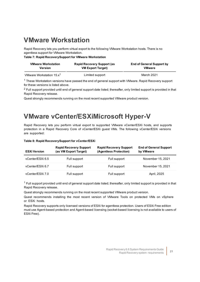#### <span id="page-20-0"></span>**VMware Workstation**

Rapid Recovery lets you perform virtual export to the following VMware Workstation hosts. There is no agentless support for VMware Workstation.

**Table 7: Rapid RecoverySupport for VMware Workstation**

| <b>VMware Workstation</b>            | <b>Rapid Recovery Support (as</b> | <b>End of General Support by</b> |
|--------------------------------------|-----------------------------------|----------------------------------|
| <b>Version</b>                       | <b>VM Export Target)</b>          | <b>VMware</b>                    |
| VMware Workstation 15.x <sup>1</sup> | Limited support                   | March 2021                       |

<sup>1</sup> These Workstation versions have passed the end of general support with VMware. Rapid Recovery support for these versions is listed above.

<sup>2</sup> Full support provided until end of general support date listed; thereafter, only limited support is provided in that Rapid Recovery release.

Quest strongly recommends running on the most recent supported VMware product version.

#### <span id="page-20-1"></span>**VMware vCenter/ESXiMicrosoft Hyper-V**

Rapid Recovery lets you perform virtual export to supported VMware vCenter/ESXi hosts, and supports protection in a Rapid Recovery Core of vCenter/ESXi guest VMs. The following vCenter/ESXi versions are supported:

|  |  |  |  |  | Table 8: Rapid RecoverySupport for vCenter/ESXi |
|--|--|--|--|--|-------------------------------------------------|
|--|--|--|--|--|-------------------------------------------------|

| <b>ESXI Version</b> | <b>Rapid Recovery Support</b><br>(as VM Export Target) | <b>Rapid Recovery Support</b><br>(Agentless Protection) | <b>End of General Support</b><br>by VMware |
|---------------------|--------------------------------------------------------|---------------------------------------------------------|--------------------------------------------|
| vCenter/ESXi 6.5    | Full support                                           | Full support                                            | November 15, 2021                          |
| vCenter/ESXi 6.7    | Full support                                           | Full support                                            | November 15, 2021                          |
| vCenter/ESXi 7.0    | Full support                                           | Full support                                            | April, 2025                                |

 $1$  Full support provided until end of general support date listed; thereafter, only limited support is provided in that Rapid Recovery release.

Quest strongly recommends running on the most recent supported VMware product version.

Quest recommends installing the most recent version of VMware Tools on protected VMs on vSphere or ESXi hosts.

Rapid Recovery supports only licensed versions of ESXi for agentless protection. Users of ESXi Free edition must use Agent-based protection and Agent-based licensing (socket-based licensing is not available to users of ESXi Free).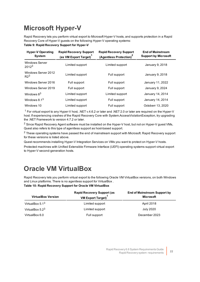### <span id="page-21-0"></span>**Microsoft Hyper-V**

Rapid Recovery lets you perform virtual export to Microsoft Hyper-V hosts, and supports protection in a Rapid Recovery Core of Hyper-V guests on the following Hyper-V operating systems: **Table 9: Rapid Recovery Support for Hyper-V**

| <b>Hyper-V Operating</b><br><b>System</b>  | <b>Rapid Recovery Support</b><br>(as VM Export Target) | <b>Rapid Recovery Support</b><br>(Agentless Protection) <sup>2</sup> | <b>End of Mainstream</b><br><b>Support by Microsoft</b> |
|--------------------------------------------|--------------------------------------------------------|----------------------------------------------------------------------|---------------------------------------------------------|
| <b>Windows Server</b><br>2012 <sup>3</sup> | Limited support                                        | Limited support                                                      | January 9, 2018                                         |
| Windows Server 2012<br>R <sup>3</sup>      | Limited support                                        | Full support                                                         | January 9, 2018                                         |
| Windows Server 2016                        | Full support                                           | Full support                                                         | January 11, 2022                                        |
| Windows Server 2019                        | Full support                                           | Full support                                                         | January 9, 2024                                         |
| Windows $8^3$                              | Limited support                                        | Limited support                                                      | January 14, 2014                                        |
| Windows $8.13$                             | Limited support                                        | Full support                                                         | January 14, 2014                                        |
| Windows 10                                 | Limited support                                        | Full support                                                         | Octoberr 13, 2020                                       |

<sup>1</sup> For virtual export to any Hyper-V host, .NET v.4.6.2 or later and .NET 2.0 or later are required on the Hyper-V host. If experiencing crashes of the Rapid Recovery Core with System.AccessViolationException, try upgrading the .NET Framework to version 4.7.2 or later.

<sup>2</sup> Since Rapid Recovery Agent software must be installed on the Hyper-V host, but not on Hyper-V guest VMs, Quest also refers to this type of agentless support as host-based support.

<sup>2</sup> These operating systems have passed the end of mainstream support with Microsoft. Rapid Recovery support for these versions is listed above.

Quest recommends installing Hyper-V Integration Services on VMs you want to protect on Hyper-V hosts.

Protected machines with Unified Extensible Firmware Interface (UEFI) operating systems support virtual export to Hyper-V second-generation hosts.

#### <span id="page-21-1"></span>**Oracle VM VirtualBox**

Rapid Recovery lets you perform virtual export to the following Oracle VM VirtualBox versions, on both Windows and Linux platforms. There is no agentless support for VirtualBox . **Table 10: Rapid Recovery Support for Oracle VM VirtualBox**

**VirtualBox Version Rapid Recovery Support (as VM Export Target)<sup>1</sup> End of Mainstream Support by Microsoft** VirtualBox 5.1<sup>3</sup> Contract Contract Contract Limited support April 2018 VirtualBox 5.2<sup>3</sup> Contract Contract Contract Limited support Contract 2020 July 2020 VirtualBox 6.0 Full support December 2023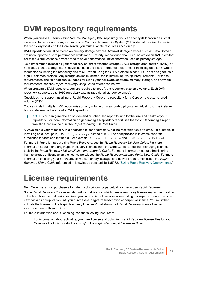## <span id="page-22-0"></span>**DVM repository requirements**

When you create a Deduplication Volume Manager (DVM) repository, you can specify its location on a local storage volume or on a storage volume on a Common Internet File System (CIFS) shared location. If creating the repository locally on the Core server, you must allocate resources accordingly.

DVM repositories must be stored on primary storage devices. Archival storage devices such as Data Domain are not supported due to performance limitations. Similarly, repositories should not be stored on NAS filers that tier to the cloud, as these devices tend to have performance limitations when used as primary storage.

Questrecommends locating your repository on direct attached storage (DAS), storage area network (SAN), or network attached storage (NAS) devices. These are listed in order of preference. If installing on a NAS, Quest recommends limiting the repository size to 6TB when using the CIFS protocol, since CIFS is not designed as a high-I/O storage protocol. Any storage device must meet the minimum input/output requirements. For these requirements, and for additional guidance for sizing your hardware, software, memory, storage, and network requirements, see the *Rapid Recovery Sizing Guide* referenced below.

When creating a DVM repository, you are required to specify the repository size on a volume. Each DVM repository supports up to 4096 repository extents (additional storage volumes).

Questdoes not support installing a Rapid Recovery Core or a repository for a Core on a cluster shared volume (CSV).

You can install multiple DVM repositories on any volume on a supported physical or virtual host. The installer lets you determine the size of a DVM repository.

**NOTE:** You can generate an on-demand or scheduled report to monitor the size and health of your f repository. For more information on generating a Repository report, see the topic "Generating a report from the Core Console" in the *Rapid Recovery 6.6 User Guide*.

Always create your repository in a dedicated folder or directory, not the root folder on a volume. For example, if installing on a local path, use  $D$ :  $\Re$   $\Re$   $D$ :  $\Re$  instead of  $D$ :  $\Im$  The best practice is to create separate directories for data and metadata. For example, D:\Repository\Data and D:\Repository\Metadata.

For more information about using Rapid Recovery, see the *Rapid Recovery 6.6 User Guide*. For more information about managing Rapid Recovery licenses from the Core Console, see the "Managing licenses" topic in the *Rapid Recovery 6.6 Installation and Upgrade Guide*. For more information about administering license groups or licenses on the license portal, see the *Rapid Recovery License Portal User Guide*. For more information on sizing your hardware, software, memory, storage, and network requirements, see the *Rapid Recovery Sizing Guide* referenced in knowledge base article 185962, "Sizing Rapid Recovery [Deployments](https://support.quest.com/rapid-recovery/kb/185962)."

## <span id="page-22-1"></span>**License requirements**

New Core users must purchase a long-term subscription or perpetual license to use Rapid Recovery. Some Rapid Recovery Core users start with a trial license, which uses a temporary license key for the duration of the trial. After the trial period expires, you can continue to restore from existing backups, but cannot perform new backups or replication until you purchase a long-term subscription or perpetual license. You must then activate the license on the Rapid Recovery License Portal, download Rapid Recovery license files, and associate them with your Core.

For more information about licensing, see the following resources:

• For information about activating your new license and obtaining Rapid Recovery license files for your Core, see the topic "Product licensing" in the *Rapid Recovery 6.6 Release Notes* .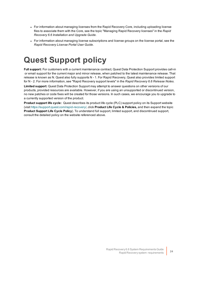- For information about managing licenses from the Rapid Recovery Core, including uploading license files to associate them with the Core, see the topic "Managing Rapid Recovery licenses" in the *Rapid Recovery 6.6 Installation and Upgrade Guide.*
- For information about managing license subscriptions and license groups on the license portal, see the *Rapid Recovery License Portal User Guide*.

## <span id="page-23-0"></span>**Quest Support policy**

**Full support:** For customers with a current maintenance contract, Quest Data Protection Support provides call-in or email support for the current major and minor release, when patched to the latest maintenance release. That release is known as N. Quest also fully supports N - 1. For Rapid Recovery, Quest also provides limited support for N - 2. For more information, see "Rapid Recovery support levels" in the *Rapid Recovery 6.6 Release Notes*. **Limited support:** Quest Data Protection Support may attempt to answer questions on other versions of our products, provided resources are available. However, if you are using an unsupported or discontinued version, no new patches or code fixes will be created for those versions. In such cases, we encourage you to upgrade to a currently supported version of the product.

**Product support life cycle:** Quest describes its product life cycle (PLC) support policy on its Support website (visit<https://support.quest.com/rapid-recovery/>, click **Product Life Cycle & Policies,** and then expand the topic **Product Support Life Cycle Policy**). To understand full support, limited support, and discontinued support, consult the detailed policy on the website referenced above.